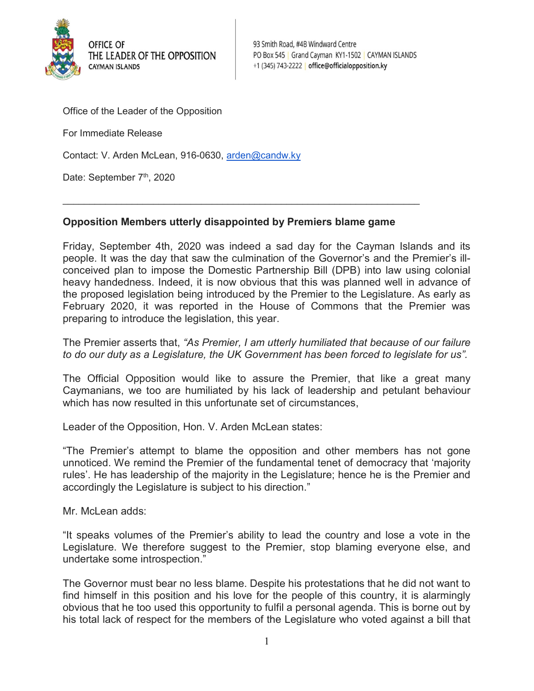

93 Smith Road, #4B Windward Centre PO Box 545 | Grand Cayman KY1-1502 | CAYMAN ISLANDS +1 (345) 743-2222 office@officialopposition.ky

Office of the Leader of the Opposition

For Immediate Release

Contact: V. Arden McLean, 916-0630, arden@candw.ky

Date: September 7<sup>th</sup>, 2020

## Opposition Members utterly disappointed by Premiers blame game

 $\mathcal{L}_\text{max}$  and  $\mathcal{L}_\text{max}$  and  $\mathcal{L}_\text{max}$  and  $\mathcal{L}_\text{max}$  and  $\mathcal{L}_\text{max}$  and  $\mathcal{L}_\text{max}$ 

Friday, September 4th, 2020 was indeed a sad day for the Cayman Islands and its people. It was the day that saw the culmination of the Governor's and the Premier's illconceived plan to impose the Domestic Partnership Bill (DPB) into law using colonial heavy handedness. Indeed, it is now obvious that this was planned well in advance of the proposed legislation being introduced by the Premier to the Legislature. As early as February 2020, it was reported in the House of Commons that the Premier was preparing to introduce the legislation, this year.

The Premier asserts that, "As Premier, I am utterly humiliated that because of our failure to do our duty as a Legislature, the UK Government has been forced to legislate for us".

The Official Opposition would like to assure the Premier, that like a great many Caymanians, we too are humiliated by his lack of leadership and petulant behaviour which has now resulted in this unfortunate set of circumstances,

Leader of the Opposition, Hon. V. Arden McLean states:

"The Premier's attempt to blame the opposition and other members has not gone unnoticed. We remind the Premier of the fundamental tenet of democracy that 'majority rules'. He has leadership of the majority in the Legislature; hence he is the Premier and accordingly the Legislature is subject to his direction."

Mr. McLean adds:

"It speaks volumes of the Premier's ability to lead the country and lose a vote in the Legislature. We therefore suggest to the Premier, stop blaming everyone else, and undertake some introspection."

The Governor must bear no less blame. Despite his protestations that he did not want to find himself in this position and his love for the people of this country, it is alarmingly obvious that he too used this opportunity to fulfil a personal agenda. This is borne out by his total lack of respect for the members of the Legislature who voted against a bill that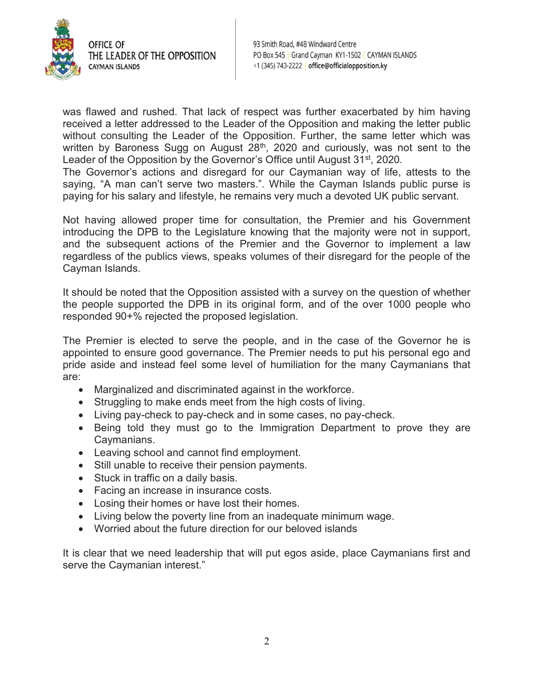

93 Smith Road, #4B Windward Centre PO Box 545 | Grand Cayman KY1-1502 | CAYMAN ISLANDS +1 (345) 743-2222 office@officialopposition.ky

was flawed and rushed. That lack of respect was further exacerbated by him having received a letter addressed to the Leader of the Opposition and making the letter public without consulting the Leader of the Opposition. Further, the same letter which was written by Baroness Sugg on August 28<sup>th</sup>, 2020 and curiously, was not sent to the Leader of the Opposition by the Governor's Office until August 31<sup>st</sup>, 2020.

The Governor's actions and disregard for our Caymanian way of life, attests to the saying, "A man can't serve two masters.". While the Cayman Islands public purse is paying for his salary and lifestyle, he remains very much a devoted UK public servant.

Not having allowed proper time for consultation, the Premier and his Government introducing the DPB to the Legislature knowing that the majority were not in support, and the subsequent actions of the Premier and the Governor to implement a law regardless of the publics views, speaks volumes of their disregard for the people of the Cayman Islands.

It should be noted that the Opposition assisted with a survey on the question of whether the people supported the DPB in its original form, and of the over 1000 people who responded 90+% rejected the proposed legislation.

The Premier is elected to serve the people, and in the case of the Governor he is appointed to ensure good governance. The Premier needs to put his personal ego and pride aside and instead feel some level of humiliation for the many Caymanians that are:

- Marginalized and discriminated against in the workforce.
- Struggling to make ends meet from the high costs of living.
- Living pay-check to pay-check and in some cases, no pay-check.
- Being told they must go to the Immigration Department to prove they are Caymanians.
- Leaving school and cannot find employment.
- Still unable to receive their pension payments.
- Stuck in traffic on a daily basis.
- Facing an increase in insurance costs.
- Losing their homes or have lost their homes.
- Living below the poverty line from an inadequate minimum wage.
- Worried about the future direction for our beloved islands

It is clear that we need leadership that will put egos aside, place Caymanians first and serve the Caymanian interest."